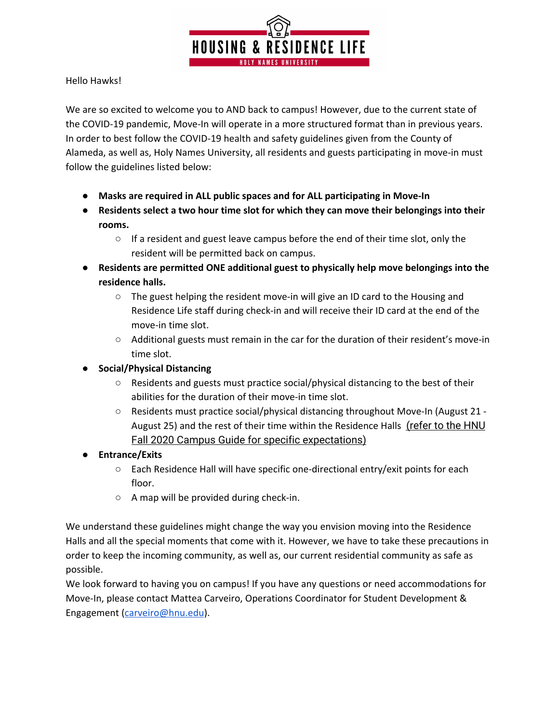

Hello Hawks!

We are so excited to welcome you to AND back to campus! However, due to the current state of the COVID-19 pandemic, Move-In will operate in a more structured format than in previous years. In order to best follow the COVID-19 health and safety guidelines given from the County of Alameda, as well as, Holy Names University, all residents and guests participating in move-in must follow the guidelines listed below:

- **● Masks are required in ALL public spaces and for ALL participating in Move-In**
- **● Residents select a two hour time slot for which they can move their belongings into their rooms.**
	- $\circ$  If a resident and guest leave campus before the end of their time slot, only the resident will be permitted back on campus.
- **● Residents are permitted ONE additional guest to physically help move belongings into the residence halls.**
	- The guest helping the resident move-in will give an ID card to the Housing and Residence Life staff during check-in and will receive their ID card at the end of the move-in time slot.
	- Additional guests must remain in the car for the duration of their resident's move-in time slot.
- **● Social/Physical Distancing**
	- $\circ$  Residents and guests must practice social/physical distancing to the best of their abilities for the duration of their move-in time slot.
	- Residents must practice social/physical distancing throughout Move-In (August 21 August 25) and the rest of their time within the Residence Halls  $(refer to the HNU)$  $(refer to the HNU)$ Fall 2020 Campus Guide for specific [expectations\)](https://hnu.edu/wp-content/uploads/2020/08/HNU-Fall-2020-Campus-Guide-08.12.20.pdf)
- **● Entrance/Exits**
	- **○** Each Residence Hall will have specific one-directional entry/exit points for each floor.
	- A map will be provided during check-in.

We understand these guidelines might change the way you envision moving into the Residence Halls and all the special moments that come with it. However, we have to take these precautions in order to keep the incoming community, as well as, our current residential community as safe as possible.

We look forward to having you on campus! If you have any questions or need accommodations for Move-In, please contact Mattea Carveiro, Operations Coordinator for Student Development & Engagement [\(carveiro@hnu.edu\)](mailto:carveiro@hnu.edu).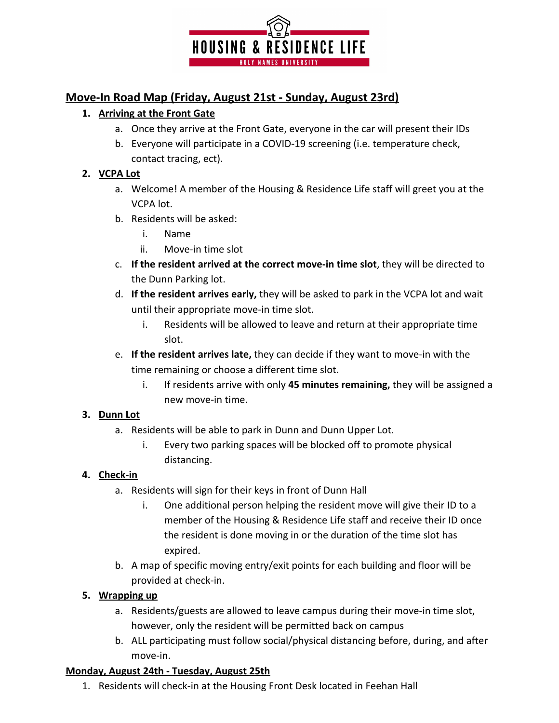

# **Move-In Road Map (Friday, August 21st - Sunday, August 23rd)**

### **1. Arriving at the Front Gate**

- a. Once they arrive at the Front Gate, everyone in the car will present their IDs
- b. Everyone will participate in a COVID-19 screening (i.e. temperature check, contact tracing, ect).

#### **2. VCPA Lot**

- a. Welcome! A member of the Housing & Residence Life staff will greet you at the VCPA lot.
- b. Residents will be asked:
	- i. Name
	- ii. Move-in time slot
- c. **If the resident arrived at the correct move-in time slot**, they will be directed to the Dunn Parking lot.
- d. **If the resident arrives early,** they will be asked to park in the VCPA lot and wait until their appropriate move-in time slot.
	- i. Residents will be allowed to leave and return at their appropriate time slot.
- e. **If the resident arrives late,** they can decide if they want to move-in with the time remaining or choose a different time slot.
	- i. If residents arrive with only **45 minutes remaining,** they will be assigned a new move-in time.

#### **3. Dunn Lot**

- a. Residents will be able to park in Dunn and Dunn Upper Lot.
	- i. Every two parking spaces will be blocked off to promote physical distancing.

## **4. Check-in**

- a. Residents will sign for their keys in front of Dunn Hall
	- i. One additional person helping the resident move will give their ID to a member of the Housing & Residence Life staff and receive their ID once the resident is done moving in or the duration of the time slot has expired.
- b. A map of specific moving entry/exit points for each building and floor will be provided at check-in.

## **5. Wrapping up**

- a. Residents/guests are allowed to leave campus during their move-in time slot, however, only the resident will be permitted back on campus
- b. ALL participating must follow social/physical distancing before, during, and after move-in.

## **Monday, August 24th - Tuesday, August 25th**

1. Residents will check-in at the Housing Front Desk located in Feehan Hall